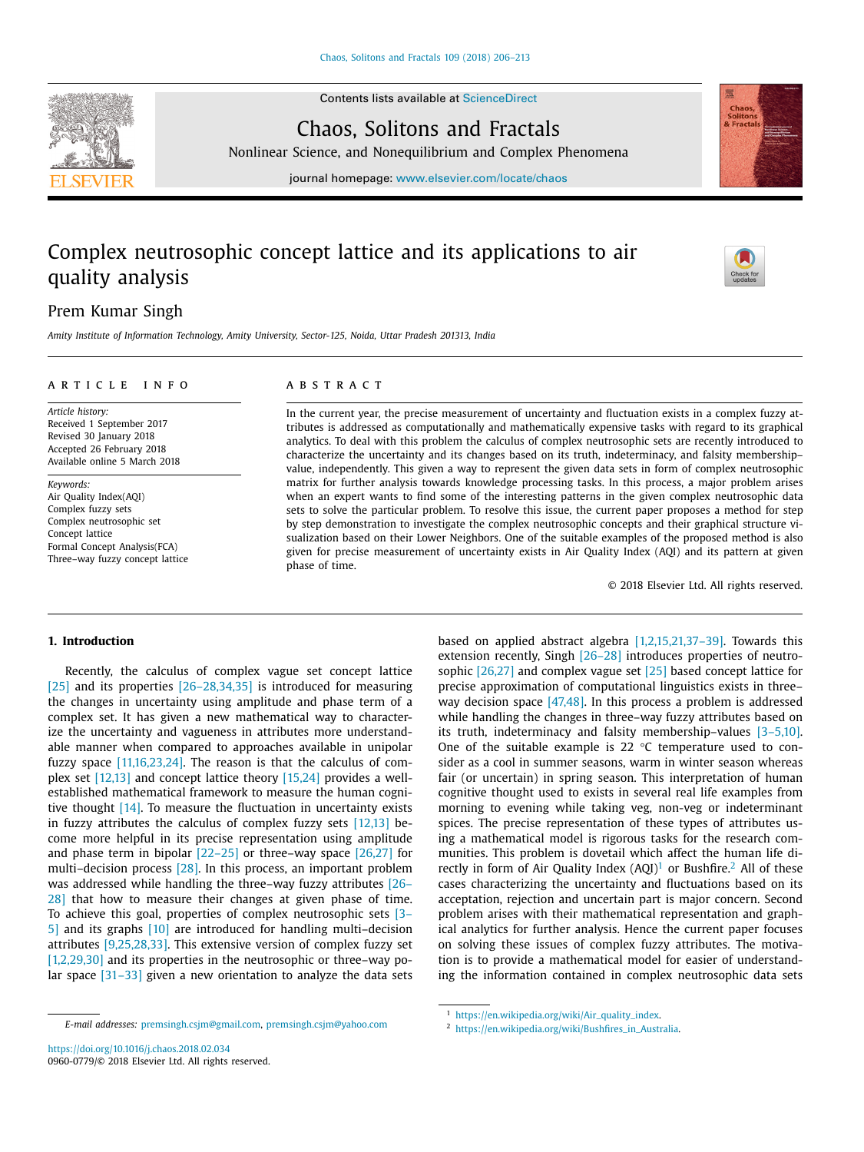Contents lists available at [ScienceDirect](http://www.ScienceDirect.com)





Nonlinear Science, and Nonequilibrium and Complex Phenomena

journal homepage: [www.elsevier.com/locate/chaos](http://www.elsevier.com/locate/chaos)

# Complex neutrosophic concept lattice and its applications to air quality analysis



# Prem Kumar Singh

*Amity Institute of Information Technology, Amity University, Sector-125, Noida, Uttar Pradesh 201313, India*

#### a r t i c l e i n f o

*Article history:* Received 1 September 2017 Revised 30 January 2018 Accepted 26 February 2018 Available online 5 March 2018

*Keywords:* Air Quality Index(AQI) Complex fuzzy sets Complex neutrosophic set Concept lattice Formal Concept Analysis(FCA) Three–way fuzzy concept lattice

# a b s t r a c t

In the current year, the precise measurement of uncertainty and fluctuation exists in a complex fuzzy attributes is addressed as computationally and mathematically expensive tasks with regard to its graphical analytics. To deal with this problem the calculus of complex neutrosophic sets are recently introduced to characterize the uncertainty and its changes based on its truth, indeterminacy, and falsity membership– value, independently. This given a way to represent the given data sets in form of complex neutrosophic matrix for further analysis towards knowledge processing tasks. In this process, a major problem arises when an expert wants to find some of the interesting patterns in the given complex neutrosophic data sets to solve the particular problem. To resolve this issue, the current paper proposes a method for step by step demonstration to investigate the complex neutrosophic concepts and their graphical structure visualization based on their Lower Neighbors. One of the suitable examples of the proposed method is also given for precise measurement of uncertainty exists in Air Quality Index (AQI) and its pattern at given phase of time.

© 2018 Elsevier Ltd. All rights reserved.

#### **1. Introduction**

Recently, the calculus of complex vague set concept lattice [\[25\]](#page-7-0) and its properties [26-28,34,35] is introduced for measuring the changes in uncertainty using amplitude and phase term of a complex set. It has given a new mathematical way to characterize the uncertainty and vagueness in attributes more understandable manner when compared to approaches available in unipolar fuzzy space [\[11,16,23,24\].](#page-7-0) The reason is that the calculus of complex set [\[12,13\]](#page-7-0) and concept lattice theory [\[15,24\]](#page-7-0) provides a wellestablished mathematical framework to measure the human cognitive thought [\[14\].](#page-7-0) To measure the fluctuation in uncertainty exists in fuzzy attributes the calculus of complex fuzzy sets [\[12,13\]](#page-7-0) become more helpful in its precise representation using amplitude and phase term in bipolar [\[22–25\]](#page-7-0) or three–way space [\[26,27\]](#page-7-0) for multi–decision process [\[28\].](#page-7-0) In this process, an important problem was addressed while handling the [three–way](#page-7-0) fuzzy attributes [26– 28] that how to measure their changes at given phase of time. To achieve this goal, properties of complex neutrosophic sets [3– 5] and its graphs [\[10\]](#page-7-0) are introduced for handling [multi–decision](#page-7-0) attributes [\[9,25,28,33\].](#page-7-0) This extensive version of complex fuzzy set [\[1,2,29,30\]](#page-7-0) and its properties in the neutrosophic or three–way polar space  $[31-33]$  given a new orientation to analyze the data sets

*E-mail addresses:* [premsingh.csjm@gmail.com,](mailto:premsingh.csjm@gmail.com) [premsingh.csjm@yahoo.com](mailto:premsingh.csjm@yahoo.com)

extension recently, Singh [\[26–28\]](#page-7-0) introduces properties of neutrosophic [\[26,27\]](#page-7-0) and complex vague set [\[25\]](#page-7-0) based concept lattice for precise approximation of computational linguistics exists in three– way decision space  $[47,48]$ . In this process a problem is addressed while handling the changes in three–way fuzzy attributes based on its truth, indeterminacy and falsity membership–values [\[3–5,10\].](#page-7-0) One of the suitable example is 22 °C temperature used to consider as a cool in summer seasons, warm in winter season whereas fair (or uncertain) in spring season. This interpretation of human cognitive thought used to exists in several real life examples from morning to evening while taking veg, non-veg or indeterminant spices. The precise representation of these types of attributes using a mathematical model is rigorous tasks for the research communities. This problem is dovetail which affect the human life directly in form of Air Quality Index  $(AQI)^1$  or Bushfire.<sup>2</sup> All of these cases characterizing the uncertainty and fluctuations based on its acceptation, rejection and uncertain part is major concern. Second problem arises with their mathematical representation and graphical analytics for further analysis. Hence the current paper focuses on solving these issues of complex fuzzy attributes. The motivation is to provide a mathematical model for easier of understanding the information contained in complex neutrosophic data sets

based on applied abstract algebra  $[1,2,15,21,37-39]$ . Towards this

<sup>1</sup> [https://en.wikipedia.org/wiki/Air\\_quality\\_index.](https://en.wikipedia.org/wiki/Air_quality_index)

<sup>2</sup> [https://en.wikipedia.org/wiki/Bushfires\\_in\\_Australia.](https://en.wikipedia.org/wiki/Bushfires_in_Australia)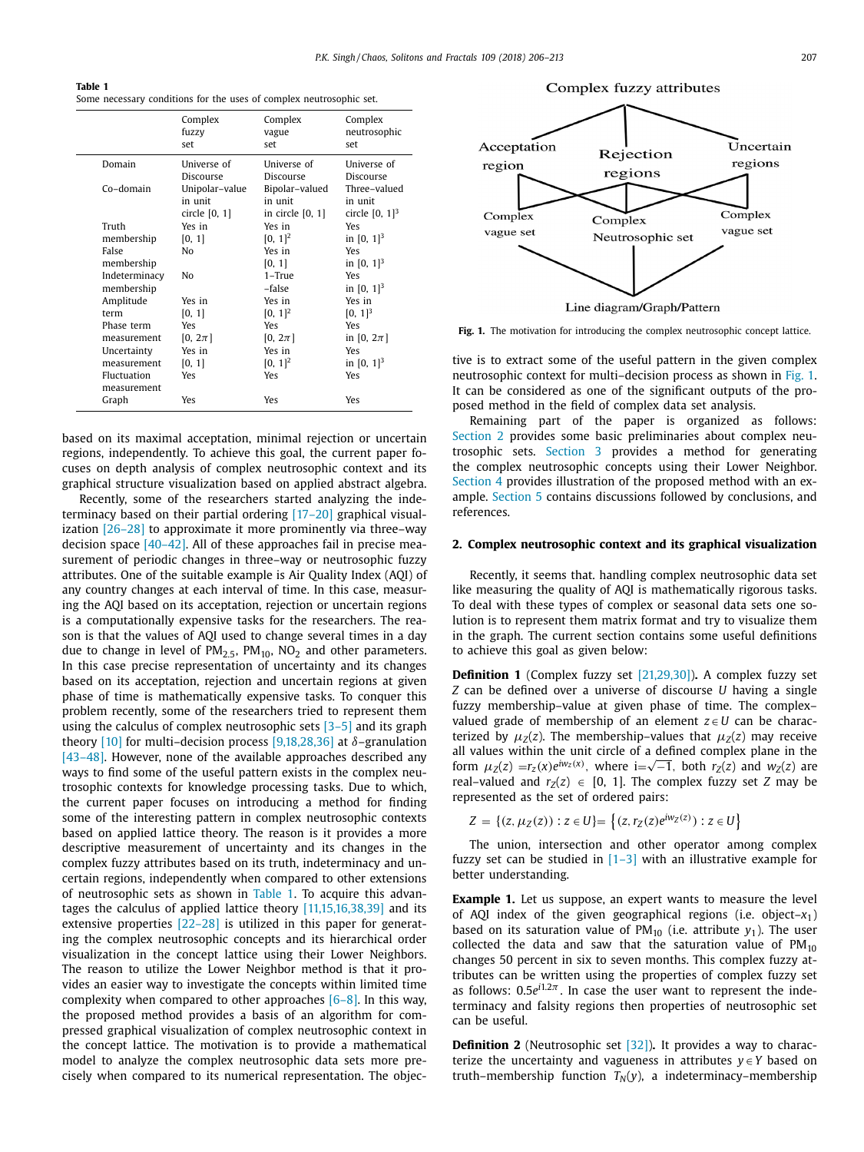<span id="page-1-0"></span>**Table 1** Some necessary conditions for the uses of complex neutrosophic set.

|               | Complex<br>fuzzy<br>set | Complex<br>vague<br>set | Complex<br>neutrosophic<br>set |
|---------------|-------------------------|-------------------------|--------------------------------|
| Domain        | Universe of             | Universe of             | Universe of                    |
|               | Discourse               | Discourse               | Discourse                      |
| Co-domain     | Unipolar-value          | Bipolar-valued          | Three-valued                   |
|               | in unit                 | in unit                 | in unit                        |
|               | circle $[0, 1]$         | in circle [0, 1]        | circle $[0, 1]^3$              |
| Truth         | Yes in                  | Yes in                  | Yes                            |
| membership    | [0, 1]                  | $[0, 1]^{2}$            | in $[0, 1]^3$                  |
| False         | N٥                      | Yes in                  | Yes                            |
| membership    |                         | [0, 1]                  | in $[0, 1]^3$                  |
| Indeterminacy | No                      | $1 - True$              | Yes                            |
| membership    |                         | -false                  | in $[0, 1]^3$                  |
| Amplitude     | Yes in                  | Yes in                  | Yes in                         |
| term          | [0, 1]                  | $[0, 1]^{2}$            | $[0, 1]^3$                     |
| Phase term    | Yes                     | Yes                     | Yes                            |
| measurement   | $[0, 2\pi]$             | $[0, 2\pi]$             | in [0, $2\pi$ ]                |
| Uncertainty   | Yes in                  | Yes in                  | Yes                            |
| measurement   | [0, 1]                  | $[0, 1]^{2}$            | in $[0, 1]^3$                  |
| Fluctuation   | Yes                     | Yes                     | Yes                            |
| measurement   |                         |                         |                                |
| Graph         | Yes                     | Yes                     | Yes                            |

based on its maximal acceptation, minimal rejection or uncertain regions, independently. To achieve this goal, the current paper focuses on depth analysis of complex neutrosophic context and its graphical structure visualization based on applied abstract algebra.

Recently, some of the researchers started analyzing the indeterminacy based on their partial ordering [\[17–20\]](#page-7-0) graphical visualization [\[26–28\]](#page-7-0) to approximate it more prominently via three–way decision space [\[40–42\].](#page-7-0) All of these approaches fail in precise measurement of periodic changes in three–way or neutrosophic fuzzy attributes. One of the suitable example is Air Quality Index (AQI) of any country changes at each interval of time. In this case, measuring the AQI based on its acceptation, rejection or uncertain regions is a computationally expensive tasks for the researchers. The reason is that the values of AQI used to change several times in a day due to change in level of  $PM<sub>2.5</sub>$ ,  $PM<sub>10</sub>$ ,  $NO<sub>2</sub>$  and other parameters. In this case precise representation of uncertainty and its changes based on its acceptation, rejection and uncertain regions at given phase of time is mathematically expensive tasks. To conquer this problem recently, some of the researchers tried to represent them using the calculus of complex neutrosophic sets  $[3-5]$  and its graph theory [\[10\]](#page-7-0) for multi-decision process [\[9,18,28,36\]](#page-7-0) at  $\delta$ -granulation [\[43–48\].](#page-7-0) However, none of the available approaches described any ways to find some of the useful pattern exists in the complex neutrosophic contexts for knowledge processing tasks. Due to which, the current paper focuses on introducing a method for finding some of the interesting pattern in complex neutrosophic contexts based on applied lattice theory. The reason is it provides a more descriptive measurement of uncertainty and its changes in the complex fuzzy attributes based on its truth, indeterminacy and uncertain regions, independently when compared to other extensions of neutrosophic sets as shown in Table 1. To acquire this advantages the calculus of applied lattice theory [\[11,15,16,38,39\]](#page-7-0) and its extensive properties [\[22–28\]](#page-7-0) is utilized in this paper for generating the complex neutrosophic concepts and its hierarchical order visualization in the concept lattice using their Lower Neighbors. The reason to utilize the Lower Neighbor method is that it provides an easier way to investigate the concepts within limited time complexity when compared to other approaches  $[6-8]$ . In this way, the proposed method provides a basis of an algorithm for compressed graphical visualization of complex neutrosophic context in the concept lattice. The motivation is to provide a mathematical model to analyze the complex neutrosophic data sets more precisely when compared to its numerical representation. The objec-

Complex fuzzy attributes



**Fig. 1.** The motivation for introducing the complex neutrosophic concept lattice.

tive is to extract some of the useful pattern in the given complex neutrosophic context for multi–decision process as shown in Fig. 1. It can be considered as one of the significant outputs of the proposed method in the field of complex data set analysis.

Remaining part of the paper is organized as follows: Section 2 provides some basic preliminaries about complex neutrosophic sets. [Section](#page-3-0) 3 provides a method for generating the complex neutrosophic concepts using their Lower Neighbor. [Section](#page-4-0) 4 provides illustration of the proposed method with an example. [Section](#page-6-0) 5 contains discussions followed by conclusions, and references.

## **2. Complex neutrosophic context and its graphical visualization**

Recently, it seems that. handling complex neutrosophic data set like measuring the quality of AQI is mathematically rigorous tasks. To deal with these types of complex or seasonal data sets one solution is to represent them matrix format and try to visualize them in the graph. The current section contains some useful definitions to achieve this goal as given below:

**Definition 1** (Complex fuzzy set [\[21,29,30\]\)](#page-7-0)**.** A complex fuzzy set *Z* can be defined over a universe of discourse *U* having a single fuzzy membership–value at given phase of time. The complex– valued grade of membership of an element  $z \in U$  can be characterized by  $\mu_Z(z)$ . The membership–values that  $\mu_Z(z)$  may receive all values within the unit circle of a defined complex plane in the form  $\mu_Z(z) = r_z(x)e^{i w_z(x)}$ , where  $i = \sqrt{-1}$ , both  $r_Z(z)$  and  $w_Z(z)$  are real–valued and  $r_Z(z) \in [0, 1]$ . The complex fuzzy set *Z* may be represented as the set of ordered pairs:

$$
Z = \{(z, \mu_Z(z)) : z \in U\} = \{(z, r_Z(z)e^{iw_Z(z)}) : z \in U\}
$$

The union, intersection and other operator among complex fuzzy set can be studied in  $[1-3]$  with an illustrative example for better understanding.

**Example 1.** Let us suppose, an expert wants to measure the level of AQI index of the given geographical regions (i.e. object–*x*1) based on its saturation value of  $PM_{10}$  (i.e. attribute  $y_1$ ). The user collected the data and saw that the saturation value of  $PM_{10}$ changes 50 percent in six to seven months. This complex fuzzy attributes can be written using the properties of complex fuzzy set as follows:  $0.5e^{i1.2\pi}$ . In case the user want to represent the indeterminacy and falsity regions then properties of neutrosophic set can be useful.

**Definition 2** (Neutrosophic set [\[32\]\)](#page-7-0). It provides a way to characterize the uncertainty and vagueness in attributes  $y \in Y$  based on truth–membership function  $T_N(y)$ , a indeterminacy–membership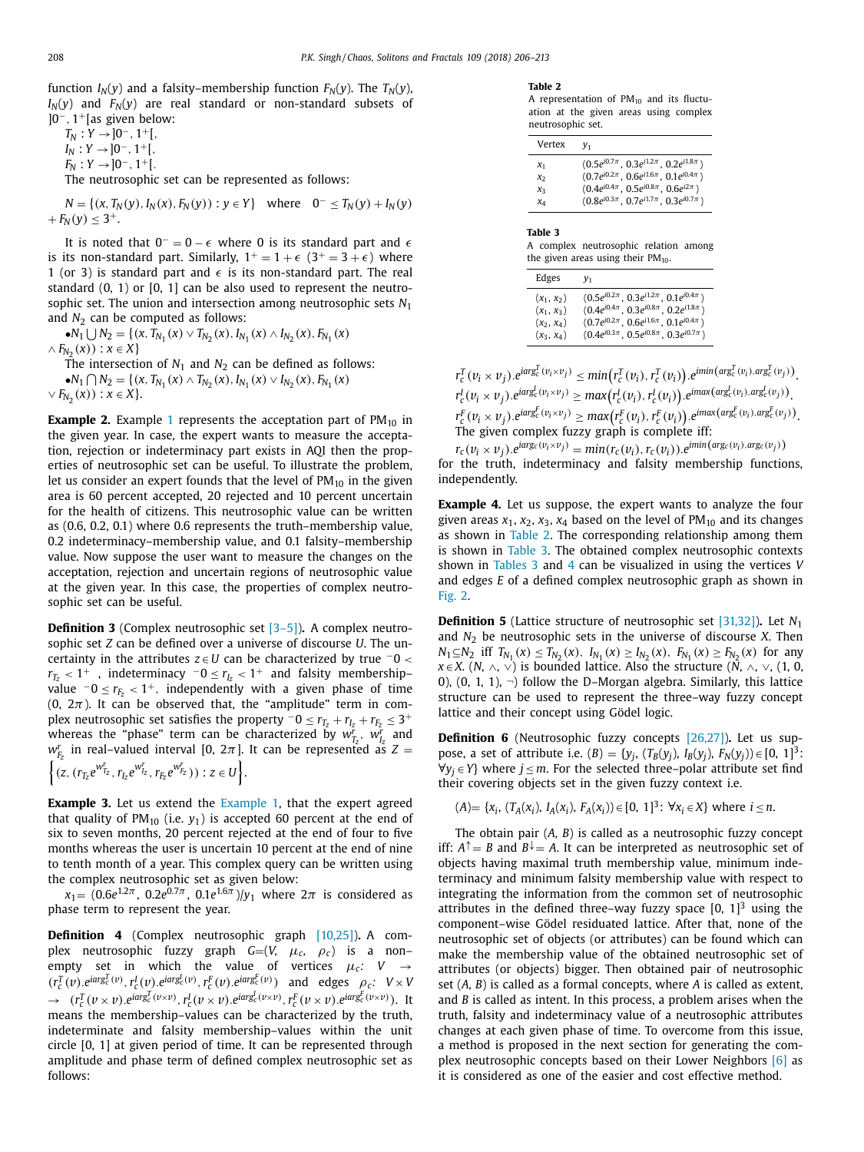<span id="page-2-0"></span>function  $I_N(\gamma)$  and a falsity–membership function  $F_N(\gamma)$ . The  $T_N(\gamma)$ ,  $I_N(y)$  and  $F_N(y)$  are real standard or non-standard subsets of ]0−, 1+[as given below:

 $T_N$  :  $Y \rightarrow 0^-$ , 1<sup>+</sup>[,  $I_N: Y \rightarrow ]0^-, 1^+[$  $F_N: Y \rightarrow ]0^-, 1^+[$ .

The neutrosophic set can be represented as follows:

 $N = \{(x, T_N(y), I_N(x), F_N(y)) : y \in Y\}$  where  $0^- \le T_N(y) + I_N(y)$  $+ F_N(y) \leq 3^+$ .

It is noted that  $0^- = 0 - \epsilon$  where 0 is its standard part and  $\epsilon$ is its non-standard part. Similarly,  $1^+=1+\epsilon$   $(3^+=3+\epsilon)$  where 1 (or 3) is standard part and  $\epsilon$  is its non-standard part. The real standard  $(0, 1)$  or  $[0, 1]$  can be also used to represent the neutrosophic set. The union and intersection among neutrosophic sets *N*<sup>1</sup> and  $N_2$  can be computed as follows:

 $\bullet N_1 \cup N_2 = \{ (x, T_{N_1}(x) \vee T_{N_2}(x), I_{N_1}(x) \wedge I_{N_2}(x), F_{N_1}(x) \}$  $\land$  *F*<sub>N<sub>2</sub></sub>(*x*)) : *x* ∈ *X*}

The intersection of  $N_1$  and  $N_2$  can be defined as follows:

•
$$
N_1 \cap N_2 = \{(x, T_{N_1}(x) \land T_{N_2}(x), I_{N_1}(x) \lor I_{N_2}(x), F_{N_1}(x) \lor F_{N_2}(x)) : x \in X\}.
$$

**Example 2.** Example [1](#page-1-0) represents the acceptation part of  $PM_{10}$  in the given year. In case, the expert wants to measure the acceptation, rejection or indeterminacy part exists in AQI then the properties of neutrosophic set can be useful. To illustrate the problem, let us consider an expert founds that the level of  $PM_{10}$  in the given area is 60 percent accepted, 20 rejected and 10 percent uncertain for the health of citizens. This neutrosophic value can be written as (0.6, 0.2, 0.1) where 0.6 represents the truth–membership value, 0.2 indeterminacy–membership value, and 0.1 falsity–membership value. Now suppose the user want to measure the changes on the acceptation, rejection and uncertain regions of neutrosophic value at the given year. In this case, the properties of complex neutrosophic set can be useful.

**Definition 3** (Complex neutrosophic set [\[3–5\]\)](#page-7-0)**.** A complex neutrosophic set *Z* can be defined over a universe of discourse *U*. The uncertainty in the attributes *z* ∈*U* can be characterized by true <sup>−</sup>0 <  $r_{T_Z}$  < 1<sup>+</sup> , indeterminacy  $-0 \le r_{I_Z}$  < 1<sup>+</sup> and falsity membership– value <sup>−</sup><sup>0</sup> <sup>≤</sup> *rFz* <sup>&</sup>lt; <sup>1</sup>+, independently with <sup>a</sup> given phase of time (0,  $2\pi$ ). It can be observed that, the "amplitude" term in complex neutrosophic set satisfies the property  $-0 \le r_{T_z} + r_{T_z} + r_{F_z} \le 3^+$ whereas the "phase" term can be characterized by  $w_{T_z}^r$ ,  $w_{I_z}^r$  and  $w_{F_z}^r$  in real–valued interval [0, 2 $\pi$ ]. It can be represented as *Z* =  $\left\{ (z,(r_{T_z}e^{w_{T_z}^r},r_{I_z}e^{w_{I_z}^r},r_{F_z}e^{w_{F_z}^r})) : z \in U \right\}.$ 

**Example 3.** Let us extend the [Example](#page-1-0) 1, that the expert agreed that quality of  $PM_{10}$  (i.e.  $y_1$ ) is accepted 60 percent at the end of six to seven months, 20 percent rejected at the end of four to five months whereas the user is uncertain 10 percent at the end of nine to tenth month of a year. This complex query can be written using the complex neutrosophic set as given below:

 $x_1 = (0.6e^{1.2\pi}, 0.2e^{0.7\pi}, 0.1e^{1.6\pi})/v_1$  where  $2\pi$  is considered as phase term to represent the year.

**Definition 4** (Complex neutrosophic graph [\[10,25\]\)](#page-7-0)**.** A complex neutrosophic fuzzy graph *G*=(*V,* μ*c,* ρ*c*) is a non– empty set in which the value of vertices  $\mu_c$ :  $V \rightarrow$  $(r_c^T(v).e^{iarg_c^T(v)}.r_c^I(v).e^{iarg_c^I(v)}.r_c^F(v).e^{iarg_c^F(v)})$  and edges  $\rho_c$ :  $V \times V$  $\rightarrow$   $(r_c^T(\nu \times \nu).e^{iarg_c^T(\nu \times \nu)}, r_c^I(\nu \times \nu).e^{iarg_c^I(\nu \times \nu)}, r_c^F(\nu \times \nu).e^{iarg_c^F(\nu \times \nu)}).$  It means the membership–values can be characterized by the truth, indeterminate and falsity membership–values within the unit circle [0, 1] at given period of time. It can be represented through amplitude and phase term of defined complex neutrosophic set as follows:

#### **Table 2**

A representation of  $PM_{10}$  and its fluctuation at the given areas using complex neutrosophic set.

| Vertex | v <sub>1</sub>                                     |
|--------|----------------------------------------------------|
| $x_1$  | $(0.5e^{i0.7\pi}, 0.3e^{i1.2\pi}, 0.2e^{i1.8\pi})$ |
| $x_2$  | $(0.7e^{i0.2\pi}, 0.6e^{i1.6\pi}, 0.1e^{i0.4\pi})$ |
| $x_3$  | $(0.4e^{i0.4\pi}, 0.5e^{i0.8\pi}, 0.6e^{i2\pi})$   |
| $x_4$  | $(0.8e^{i0.3\pi}, 0.7e^{i1.7\pi}, 0.3e^{i0.7\pi})$ |

**Table 3**

A complex neutrosophic relation among the given areas using their  $PM_{10}$ .

| Edges        | $y_1$                                                     |
|--------------|-----------------------------------------------------------|
| $(x_1, x_2)$ | $(0.5e^{i0.2\pi}, 0.3e^{i1.2\pi}, 0.1e^{i0.4\pi})$        |
| $(x_1, x_3)$ | $(0.4e^{i0.4\pi}, 0.3e^{i0.8\pi}, 0.2e^{i1.8\pi})$        |
| $(x_2, x_4)$ | $(0.7e^{i0.2\pi}$ , $0.6e^{i1.6\pi}$ , $0.1e^{i0.4\pi}$ ) |
| $(x_3, x_4)$ | $(0.4e^{i0.3\pi}, 0.5e^{i0.8\pi}, 0.3e^{i0.7\pi})$        |

 $r_c^T(v_i \times v_j).e^{iarg_c^T(v_i \times v_j)} \leq min(r_c^T(v_i), r_c^T(v_i)).e^{imin(arg_c^T(v_i),arg_c^T(v_j))}.$  $r_c^l(v_i \times v_j).e^{iarg_c^l(v_i \times v_j)} \ge max(r_c^l(v_i), r_c^l(v_i)).e^{imax(arg_c^l(v_i), arg_c^l(v_j))}.$  $r_c^F(v_i \times v_j).e^{iarg_c^F(v_i \times v_j)} \ge max(r_c^F(v_i), r_c^F(v_i)).e^{imax(arg_c^F(v_i), arg_c^F(v_j))}$ The given complex fuzzy graph is complete iff:

 $r_c(v_i \times v_i)$ .  $e^{iarg_c(v_i \times v_j)} = min(r_c(v_i), r_c(v_i))$ .  $e^{imin(arg_c(v_i), arg_c(v_j))}$ for the truth, indeterminacy and falsity membership functions, independently.

**Example 4.** Let us suppose, the expert wants to analyze the four given areas  $x_1$ ,  $x_2$ ,  $x_3$ ,  $x_4$  based on the level of  $PM_{10}$  and its changes as shown in Table 2. The corresponding relationship among them is shown in Table 3. The obtained complex neutrosophic contexts shown in Tables 3 and [4](#page-3-0) can be visualized in using the vertices *V* and edges *E* of a defined complex neutrosophic graph as shown in [Fig.](#page-3-0) 2.

**Definition 5** (Lattice structure of neutrosophic set [\[31,32\]\)](#page-7-0)**.** Let *N*<sup>1</sup> and  $N_2$  be neutrosophic sets in the universe of discourse *X*. Then *N*<sub>1</sub>⊆*N*<sub>2</sub> iff *T<sub>N<sub>1</sub>*</sub>(*x*) ≤ *T<sub>N<sub>2</sub>*</sub>(*x*), *I<sub>N<sub>1</sub></sub>*(*x*) ≥ *I<sub>N<sub>2</sub></sub>*(*x*), *F<sub>N<sub>1</sub></sub>*(*x*) ≥ *F<sub>N<sub>2</sub></sub>*(*x*) for any *x* ∈ *X*. (*N*,  $\land$ ,  $\lor$ ) is bounded lattice. Also the structure ( $\overline{N}$ ,  $\land$ ,  $\lor$ , (1, 0, 0), (0, 1, 1),  $\neg$  follow the D–Morgan algebra. Similarly, this lattice structure can be used to represent the three–way fuzzy concept lattice and their concept using Gödel logic.

**Definition 6** (Neutrosophic fuzzy concepts [\[26,27\]\)](#page-7-0)**.** Let us suppose, a set of attribute i.e.  $(B) = {y_i, (T_B(y_i), I_B(y_i), F_N(y_i)) \in [0, 1]^3}$ :  $∀y_i ∈ Y}$  where *j* ≤ *m*. For the selected three–polar attribute set find their covering objects set in the given fuzzy context i.e.

 $(A) = \{x_i, (T_A(x_i), I_A(x_i), F_A(x_i)) \in [0, 1]^3 : \forall x_i \in X\}$  where  $i \leq n$ .

The obtain pair (*A, B*) is called as a neutrosophic fuzzy concept iff:  $A^{\uparrow} = B$  and  $B^{\downarrow} = A$ . It can be interpreted as neutrosophic set of objects having maximal truth membership value, minimum indeterminacy and minimum falsity membership value with respect to integrating the information from the common set of neutrosophic attributes in the defined three–way fuzzy space  $[0, 1]^3$  using the component–wise Gödel residuated lattice. After that, none of the neutrosophic set of objects (or attributes) can be found which can make the membership value of the obtained neutrosophic set of attributes (or objects) bigger. Then obtained pair of neutrosophic set (*A, B*) is called as a formal concepts, where *A* is called as extent, and *B* is called as intent. In this process, a problem arises when the truth, falsity and indeterminacy value of a neutrosophic attributes changes at each given phase of time. To overcome from this issue, a method is proposed in the next section for generating the complex neutrosophic concepts based on their Lower Neighbors [\[6\]](#page-7-0) as it is considered as one of the easier and cost effective method.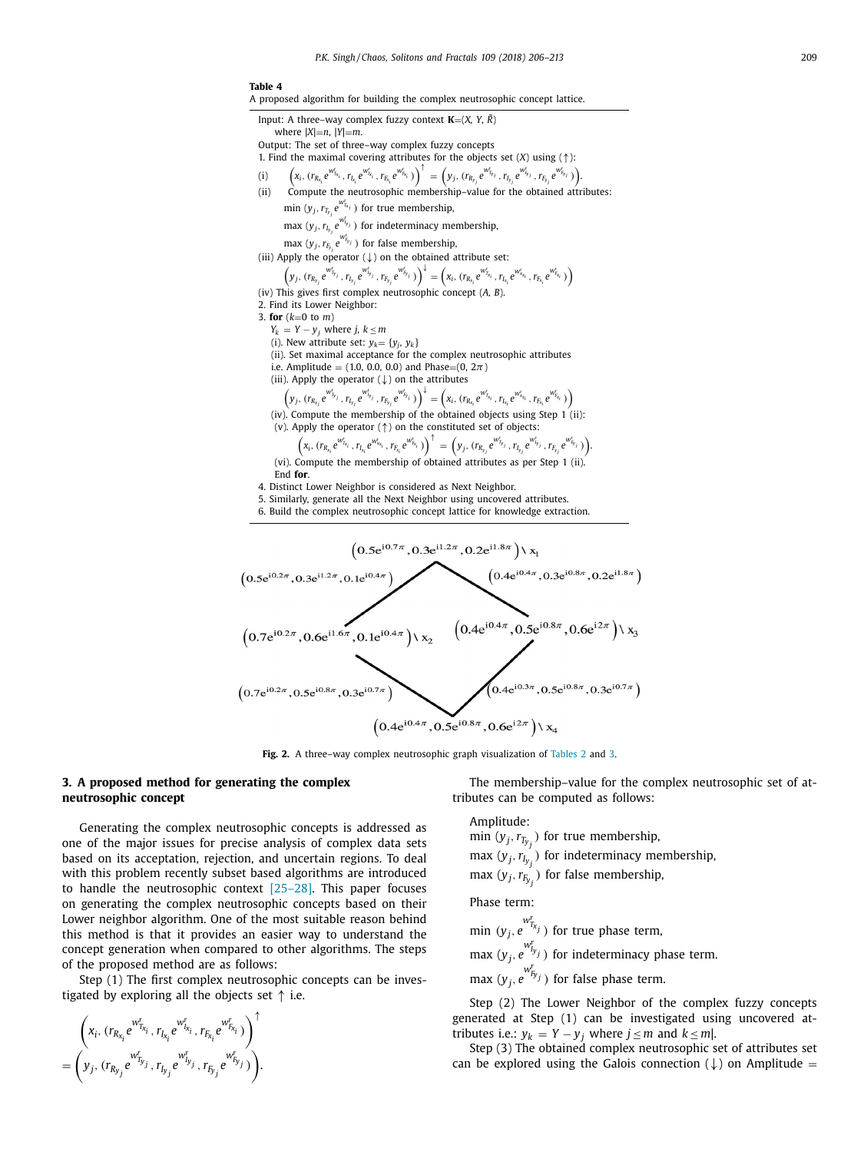#### **Table 4**

<span id="page-3-0"></span>

| A proposed algorithm for building the complex neutrosophic concept lattice. |  |  |  |
|-----------------------------------------------------------------------------|--|--|--|
|-----------------------------------------------------------------------------|--|--|--|

| Input: A three–way complex fuzzy context $K=(X, Y, R)$                                 |
|----------------------------------------------------------------------------------------|
| where $ X =n$ , $ Y =m$ .                                                              |
| Output: The set of three–way complex fuzzy concepts                                    |
| 1. Find the maximal covering attributes for the objects set $(X)$ using $(\uparrow)$ : |

- $\hspace{-1.2cm} \text{(i)} \hspace{-1.2cm} \left(x_{i}, \left(r_{R_{x_{i}}}e^{w_{f_{x_{i}}}} , r_{L_{x_{i}}}e^{w_{f_{x_{i}}}} , r_{E_{x_{i}}}e^{w_{f_{S_{i}}}}\right)\right)^{\uparrow} = \left(y_{j}, \left(r_{R_{y_{j}}}e^{w_{f_{y_{j}}}} , r_{L_{y_{j}}}e^{w_{f_{y_{j}}'}} , r_{F_{y_{j}}}e^{w_{f_{S_{j}}}}\right)\right) \hspace{-1.2cm}$
- (ii) Compute the neutrosophic membership-value for the obtained attributes:  $\min(y_j, r_{T_{y_j}}e^{w_{T_{x_j}}^r})$  for true membership,
	- max  $(y_j, r_{I_{y_j}}e^{wt_{y_j}})$  for indeterminacy membership,
	- $\max (y_j, r_{\mathit{F}_y} e^{w_{\mathit{F}_y}^r})$  for false membership,
- (iii) Apply the operator  $(\downarrow)$  on the obtained attribute set:

$$
\left(y_j, \, (r_{R_{y_j}}e^{w_{y_j}^r}, \, r_{I_{y_j}}e^{w_{J_{y_j}}^r}, \, r_{F_{y_j}}e^{w_{F_{y_j}}^r})\right)^\downarrow = \left(x_i, \, (r_{R_{x_i}}e^{w_{T_{x_i}}^r}, \, r_{I_{x_i}}e^{w_{x_{x_i}}^r}, \, r_{F_{x_i}}e^{w_{F_{x_i}}^r})\right)
$$

- (iv) This gives first complex neutrosophic concept (*A, B*).
- 2. Find its Lower Neighbor:
- 3. **for** (*k*=0 to *m*)
	- $Y_k = Y y_j$  where *j*,  $k \le m$
	- (i). New attribute set:  $y_k = \{y_i, y_k\}$
	- (ii). Set maximal acceptance for the complex neutrosophic attributes
	- i.e. Amplitude =  $(1.0, 0.0, 0.0)$  and Phase= $(0, 2\pi)$

(iii). Apply the operator 
$$
(\downarrow)
$$
 on the attributes

$$
\left(y_j, \, (r_{R_{y_j}}e^{w_{\tilde{b}_{y_j}}^r}, r_{I_{y_j}}e^{w_{\tilde{b}_{y_j}}^r}, r_{\tilde{b}_{y_j}}e^{w_{\tilde{b}_{y_j}}^r})\right)^\downarrow = \left(x_i, \, (r_{R_{x_i}}e^{w_{\tilde{b}_{x_i}}^r}, r_{I_{x_i}}e^{w_{\tilde{b}_{x_i}}^r}, r_{\tilde{b}_{x_i}}e^{w_{\tilde{b}_{x_i}}^r})\right)
$$

- (iv). Compute the membership of the obtained objects using Step 1 (ii):
- (v). Apply the operator (↑) on the constituted set of objects:

$$
\Big(x_{i}, \, (r_{R_{x_{i}}} \, e^{w_{T_{X_{i}}}^r}, r_{I_{x_{i}}} \, e^{w_{x_{x_{i}}}^r}, r_{F_{x_{i}}} \, e^{w_{F_{x_{i}}}^r})\Big)^\uparrow \, = \, \Big(y_{j}, \, (r_{R_{y_{j}}} \, e^{w_{T_{y_{j}}}^r}, r_{I_{y_{j}}} \, e^{w_{I_{y_{j}}}^r}, r_{F_{y_{j}}} \, e^{w_{F_{y_{j}}}^r})\Big).
$$

- (vi). Compute the membership of obtained attributes as per Step 1 (ii). End **for**.
- 4. Distinct Lower Neighbor is considered as Next Neighbor.
- 5. Similarly, generate all the Next Neighbor using uncovered attributes.
- 6. Build the complex neutrosophic concept lattice for knowledge extraction.



**Fig. 2.** A three–way complex neutrosophic graph visualization of [Tables](#page-2-0) 2 and [3.](#page-2-0)

## **3. A proposed method for generating the complex neutrosophic concept**

Generating the complex neutrosophic concepts is addressed as one of the major issues for precise analysis of complex data sets based on its acceptation, rejection, and uncertain regions. To deal with this problem recently subset based algorithms are introduced to handle the neutrosophic context  $[25-28]$ . This paper focuses on generating the complex neutrosophic concepts based on their Lower neighbor algorithm. One of the most suitable reason behind this method is that it provides an easier way to understand the concept generation when compared to other algorithms. The steps of the proposed method are as follows:

Step (1) The first complex neutrosophic concepts can be investigated by exploring all the objects set ↑ i.e.

$$
\begin{pmatrix} x_i, (r_{R_{x_i}}e^{w_{T_{x_i}}^r}, r_{I_{x_i}}e^{w_{I_{x_i}}^r}, r_{F_{x_i}}e^{w_{F_{x_i}}^r}) \\ = \left(y_j, (r_{R_{y_j}}e^{w_{I_{y_j}}^r}, r_{I_{y_j}}e^{w_{I_{y_j}}^r}, r_{F_{y_j}}e^{w_{F_{y_j}}^r})\right). \end{pmatrix}
$$

The membership–value for the complex neutrosophic set of attributes can be computed as follows:

#### Amplitude:

min  $(y_j, r_{T_{y_j}})$  for true membership, max  $(y_j, r_{I_{y_j}})$  for indeterminacy membership, max  $(y_j, r_{F_y})$  for false membership,

#### Phase term:

min 
$$
(y_j, e^{w_{f_{x_j}}^r})
$$
 for true phase term,  
max  $(y_j, e^{w_{f_{y_j}}^r})$  for indeterminacy phase term.  
max  $(y_j, e^{w_{f_{y_j}}^r})$  for false phase term.

Step (2) The Lower Neighbor of the complex fuzzy concepts generated at Step (1) can be investigated using uncovered attributes i.e.:  $y_k = Y - y_j$  where  $j \le m$  and  $k \le m$ .

Step (3) The obtained complex neutrosophic set of attributes set can be explored using the Galois connection  $(\downarrow)$  on Amplitude =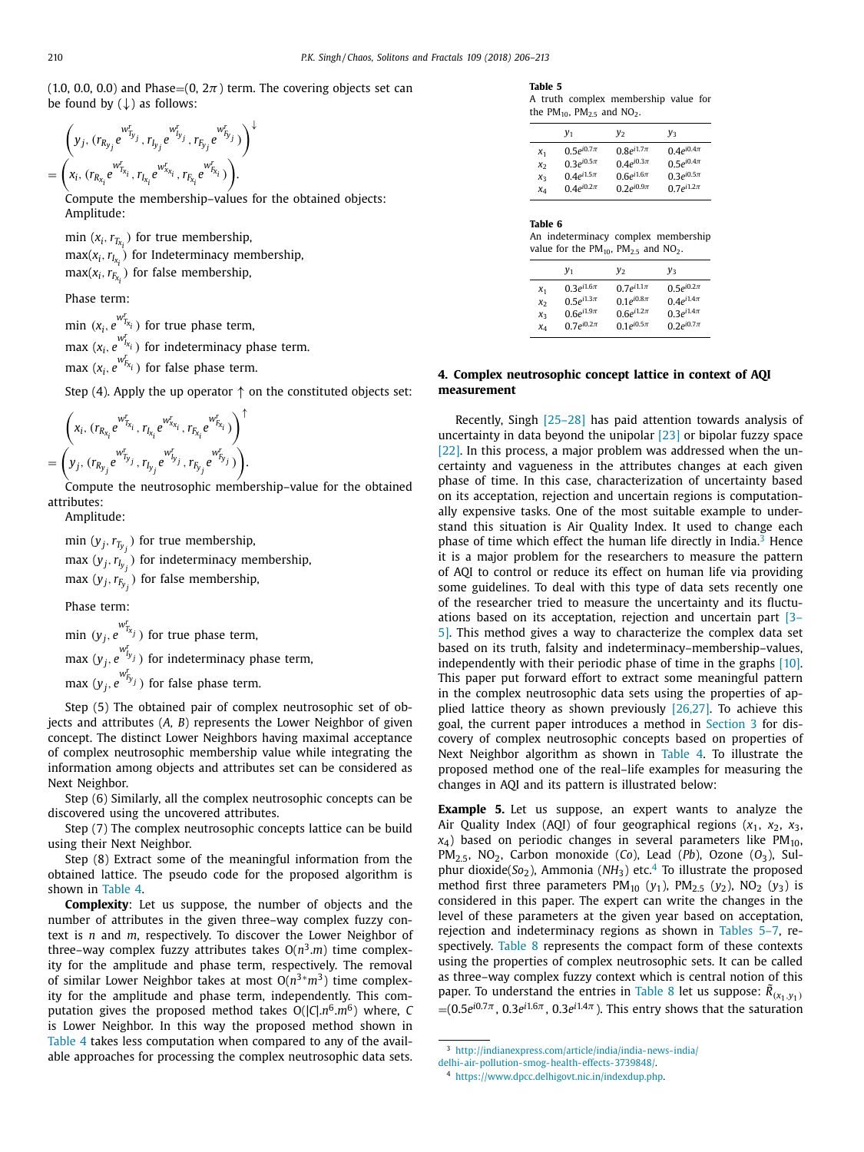<span id="page-4-0"></span>(1.0, 0.0, 0.0) and Phase=(0,  $2\pi$ ) term. The covering objects set can be found by  $(\downarrow)$  as follows:

↓

$$
\left(y_j, (r_{R_{y_j}}e^{w_{T_{y_j}}^r}, r_{I_{y_j}}e^{w_{I_{y_j}}^r}, r_{F_{y_j}}e^{w_{F_{y_j}}^r})\right) = \left(x_i, (r_{R_{x_i}}e^{w_{T_{x_i}}^r}, r_{I_{x_i}}e^{w_{x_i}}^r, r_{F_{x_i}}e^{w_{F_{x_i}}^r})\right).
$$

Compute the membership–values for the obtained objects: Amplitude:

min  $(x_i, r_{T_{x_i}})$  for true membership,  $\max(x_i, r_{I_{x_i}})$  for Indeterminacy membership,  $max(x_i, r_{F_{X_i}})$  for false membership,

Phase term:

 $\min$  ( $x_i$ ,  $e^{wt_{T_{x_i}}^r}$ ) for true phase term,  $\max\left(x_i, e^{w_{I_{X_i}^r}}\right)$  for indeterminacy phase term.  $\max$  ( $x_i$ ,  $e^{w_{E_{x_i}}^r}$ ) for false phase term.

Step (4). Apply the up operator  $\uparrow$  on the constituted objects set:

$$
\begin{aligned} & \Big( x_i, \, (r_{R_{X_i}}e^{w_{I_{X_i}}} , \, r_{I_{X_i}}e^{w_{X_{X_i}}} , \, r_{I_{X_i}}e^{w_{I_{X_i}}} \big) \Big)^{\uparrow} \\ & = \Big( y_j, \, (r_{R_{y_j}}e^{w_{I_{y_j}}} , \, r_{I_{y_j}}e^{w_{I_{y_j}}} , \, r_{I_{y_j}}e^{w_{I_{y_j}}} \big) \Big) . \end{aligned}
$$

Compute the neutrosophic membership–value for the obtained attributes:

Amplitude:

min  $(y_j, r_{T_{y_j}})$  for true membership, max (*yj*,*rIy <sup>j</sup>* ) for indeterminacy membership, max  $(y_j, r_{F_{y_j}})$  for false membership,

Phase term:

 $\min (y_j, e^{w_{T_{x_j}}^r})$  for true phase term,  $\max\left(y_j, e^{w_{I_y}^r}\right)$  for indeterminacy phase term,

 $\max_{y_j, e} \left( y_{j, e}^{w_{f_y^r}^r} \right)$  for false phase term.

Step (5) The obtained pair of complex neutrosophic set of objects and attributes (*A, B*) represents the Lower Neighbor of given concept. The distinct Lower Neighbors having maximal acceptance of complex neutrosophic membership value while integrating the information among objects and attributes set can be considered as Next Neighbor.

Step (6) Similarly, all the complex neutrosophic concepts can be discovered using the uncovered attributes.

Step (7) The complex neutrosophic concepts lattice can be build using their Next Neighbor.

Step (8) Extract some of the meaningful information from the obtained lattice. The pseudo code for the proposed algorithm is shown in [Table](#page-3-0) 4.

**Complexity**: Let us suppose, the number of objects and the number of attributes in the given three–way complex fuzzy context is *n* and *m*, respectively. To discover the Lower Neighbor of three–way complex fuzzy attributes takes  $O(n^3.m)$  time complexity for the amplitude and phase term, respectively. The removal of similar Lower Neighbor takes at most O(*n*3∗*m*3) time complexity for the amplitude and phase term, independently. This computation gives the proposed method takes O(|*C*|.*n*6.*m*6) where, *C* is Lower Neighbor. In this way the proposed method shown in [Table](#page-3-0) 4 takes less computation when compared to any of the available approaches for processing the complex neutrosophic data sets.

#### **Table 5**

A truth complex membership value for the  $PM_{10}$ ,  $PM_{2.5}$  and  $NO_2$ .

|       | $y_1$             | y <sub>2</sub>   | $v_{3}$          |
|-------|-------------------|------------------|------------------|
| $x_1$ | $0.5e^{i0.7\pi}$  | $0.8e^{i1.7\pi}$ | $0.4e^{i0.4\pi}$ |
| Xэ    | $0.3e^{i0.5\pi}$  | $0.4e^{i0.3\pi}$ | $0.5e^{i0.4\pi}$ |
| X٦    | $0.4e^{i1.5\pi}$  | $0.6e^{i1.6\pi}$ | $0.3e^{i0.5\pi}$ |
| XΔ    | 0.4 $e^{i0.2\pi}$ | $0.2e^{i0.9\pi}$ | $0.7e^{i1.2\pi}$ |

#### **Table 6**

An indeterminacy complex membership value for the  $PM_{10}$ ,  $PM_{2.5}$  and  $NO_2$ .

|                | $y_1$             | $y_2$             | v <sub>3</sub>   |
|----------------|-------------------|-------------------|------------------|
| $x_1$          | $0.3e^{i1.6\pi}$  | 0.7 $e^{i1.1\pi}$ | $0.5e^{i0.2\pi}$ |
| x <sub>2</sub> | $0.5e^{i1.3\pi}$  | 0.1 $e^{i0.8\pi}$ | $0.4e^{i1.4\pi}$ |
| $\chi_{\rm R}$ | $0.6e^{i 1.9\pi}$ | $0.6e^{i1.2\pi}$  | $0.3e^{i1.4\pi}$ |
| $x_4$          | $0.7e^{i0.2\pi}$  | 0.1 $e^{i0.5\pi}$ | $0.2e^{i0.7\pi}$ |

# **4. Complex neutrosophic concept lattice in context of AQI measurement**

Recently, Singh [\[25–28\]](#page-7-0) has paid attention towards analysis of uncertainty in data beyond the unipolar [\[23\]](#page-7-0) or bipolar fuzzy space [\[22\].](#page-7-0) In this process, a major problem was addressed when the uncertainty and vagueness in the attributes changes at each given phase of time. In this case, characterization of uncertainty based on its acceptation, rejection and uncertain regions is computationally expensive tasks. One of the most suitable example to understand this situation is Air Quality Index. It used to change each phase of time which effect the human life directly in India. $3$  Hence it is a major problem for the researchers to measure the pattern of AQI to control or reduce its effect on human life via providing some guidelines. To deal with this type of data sets recently one of the researcher tried to measure the uncertainty and its fluctuations based on its acceptation, rejection and uncertain part [3– 5]. This method gives a way to [characterize](#page-7-0) the complex data set based on its truth, falsity and indeterminacy–membership–values, independently with their periodic phase of time in the graphs [\[10\].](#page-7-0) This paper put forward effort to extract some meaningful pattern in the complex neutrosophic data sets using the properties of applied lattice theory as shown previously  $[26,27]$ . To achieve this goal, the current paper introduces a method in [Section](#page-3-0) 3 for discovery of complex neutrosophic concepts based on properties of Next Neighbor algorithm as shown in [Table](#page-3-0) 4. To illustrate the proposed method one of the real–life examples for measuring the changes in AQI and its pattern is illustrated below:

**Example 5.** Let us suppose, an expert wants to analyze the Air Quality Index (AQI) of four geographical regions  $(x_1, x_2, x_3, x_4)$  $x_4$ ) based on periodic changes in several parameters like PM<sub>10</sub>, PM<sub>2.5</sub>, NO<sub>2</sub>, Carbon monoxide (*Co*), Lead (*Pb*), Ozone ( $O_3$ ), Sulphur dioxide( $So<sub>2</sub>$ ), Ammonia ( $NH<sub>3</sub>$ ) etc.<sup>4</sup> To illustrate the proposed method first three parameters  $PM_{10}$  ( $y_1$ ),  $PM_{2,5}$  ( $y_2$ ),  $NO_2$  ( $y_3$ ) is considered in this paper. The expert can write the changes in the level of these parameters at the given year based on acceptation, rejection and indeterminacy regions as shown in Tables 5–7, respectively. [Table](#page-6-0) 8 represents the compact form of these contexts using the properties of complex neutrosophic sets. It can be called as three–way complex fuzzy context which is central notion of this paper. To understand the entries in [Table](#page-6-0) 8 let us suppose:  $\tilde{R}_{(x_1,y_1)}$  $=$ (0.5*e*<sup>i0.7π</sup>, 0.3*e*<sup>i1.6π</sup>, 0.3*e*<sup>i1.4π</sup>). This entry shows that the saturation

<sup>3</sup> [http://indianexpress.com/article/india/india-news- india/](http://indianexpress.com/article/india/india-news-india/delhi-air-pollution-smog-health-effects-3739848/)

delhi-air-pollution-smog-health-effects-3739848/.

<sup>4</sup> [https://www.dpcc.delhigovt.nic.in/indexdup.php.](https://www.dpcc.delhigovt.nic.in/indexdup.php)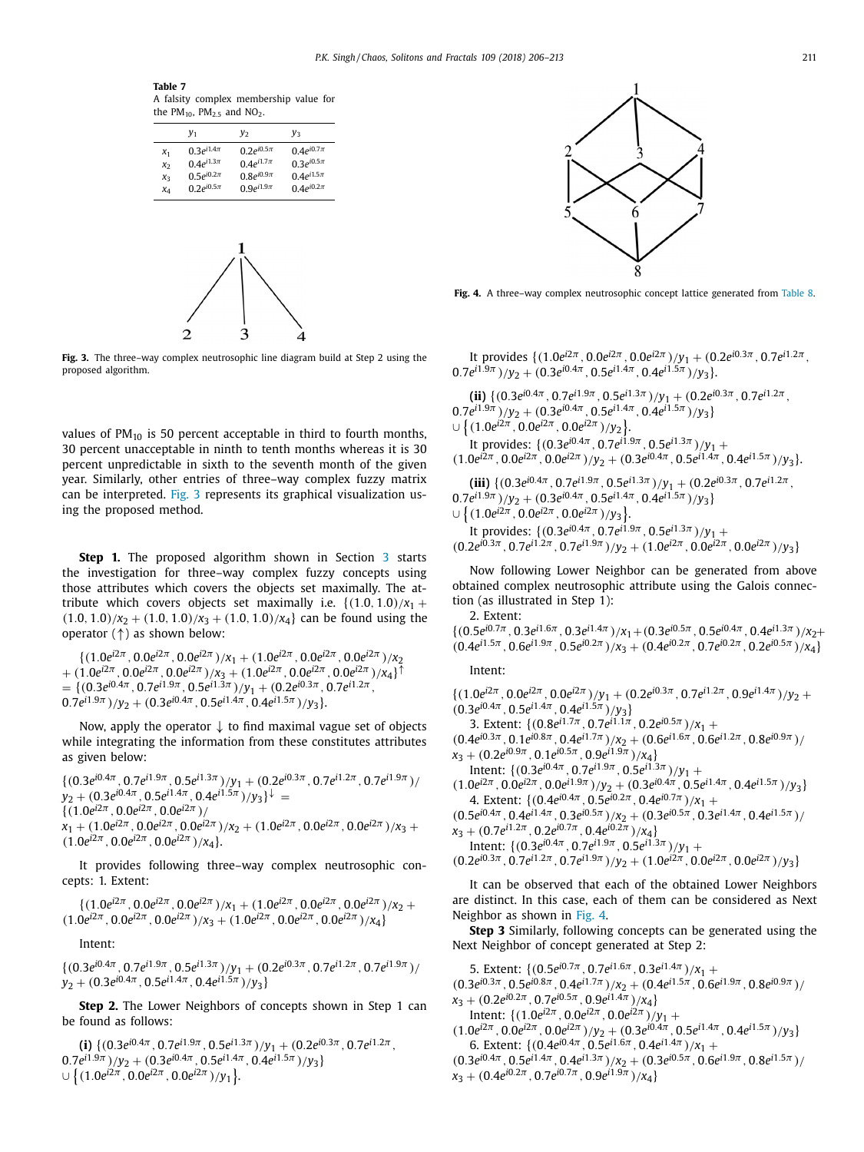<span id="page-5-0"></span>**Table 7** A falsity complex membership value for the  $PM_{10}$ ,  $PM_{2.5}$  and  $NO_2$ .

|               | $y_1$                                 | $y_2$                                | v <sub>3</sub>                        |
|---------------|---------------------------------------|--------------------------------------|---------------------------------------|
| $x_1$         | 0.3 $e^{i1.4\pi}$<br>$0.4e^{i1.3\pi}$ | $0.2e^{i0.5\pi}$<br>$0.4e^{i1.7\pi}$ | 0.4 $e^{i0.7\pi}$<br>$0.3e^{i0.5\pi}$ |
| $x_{2}$<br>X٦ | $0.5e^{i0.2\pi}$                      | $0.8e^{i0.9\pi}$                     | $0.4e^{i1.5\pi}$                      |
| $x_4$         | $0.2e^{i0.5\pi}$                      | 0.9 $e^{i1.9\pi}$                    | $0.4e^{i0.2\pi}$                      |
|               |                                       |                                      |                                       |



**Fig. 3.** The three–way complex neutrosophic line diagram build at Step 2 using the proposed algorithm.

values of  $PM_{10}$  is 50 percent acceptable in third to fourth months, 30 percent unacceptable in ninth to tenth months whereas it is 30 percent unpredictable in sixth to the seventh month of the given year. Similarly, other entries of three–way complex fuzzy matrix can be interpreted. Fig. 3 represents its graphical visualization using the proposed method.

**Step 1.** The proposed algorithm shown in Section [3](#page-3-0) starts the investigation for three–way complex fuzzy concepts using those attributes which covers the objects set maximally. The attribute which covers objects set maximally i.e.  $\{(1.0, 1.0)/x_1 +$  $(1.0, 1.0)/x_2 + (1.0, 1.0)/x_3 + (1.0, 1.0)/x_4$  can be found using the operator (↑) as shown below:

 $\{(1.0e^{i2\pi}, 0.0e^{i2\pi}, 0.0e^{i2\pi})/x_1 + (1.0e^{i2\pi}, 0.0e^{i2\pi}, 0.0e^{i2\pi})/x_2\}$  $+(1.0e^{i2\pi}, 0.0e^{i2\pi}, 0.0e^{i2\pi})/x_3 + (1.0e^{i2\pi}, 0.0e^{i2\pi}, 0.0e^{i2\pi})/x_4$  $= { (0.3e^{i0.4\pi}, 0.7e^{i1.9\pi}, 0.5e^{i1.3\pi})/y_1 + (0.2e^{i0.3\pi}, 0.7e^{i1.2\pi})}$  $0.7e^{i1.9\pi}$   $/\gamma_2 + (0.3e^{i0.4\pi}, 0.5e^{i1.4\pi}, 0.4e^{i1.5\pi})/\gamma_3$ .

Now, apply the operator ↓ to find maximal vague set of objects while integrating the information from these constitutes attributes as given below:

 $\{(0.3e^{i0.4\pi}, 0.7e^{i1.9\pi}, 0.5e^{i1.3\pi})/y_1 + (0.2e^{i0.3\pi}, 0.7e^{i1.2\pi}, 0.7e^{i1.9\pi})/$  $y_2$  + (0.3*e*<sup>*i*0.4π</sup>, 0.5*e*<sup>*i*1.4π</sup>, 0.4*e*<sup>*i*1.5π</sup>)/ $y_3$ }↓ =  $\{(1.0e^{i2\pi}, 0.0e^{i2\pi}, 0.0e^{i2\pi})/$  $x_1 + (1.0e^{i2\pi}, 0.0e^{i2\pi}, 0.0e^{i2\pi})/x_2 + (1.0e^{i2\pi}, 0.0e^{i2\pi}, 0.0e^{i2\pi})/x_3 +$  $(1.0e^{i2\pi}, 0.0e^{i2\pi}, 0.0e^{i2\pi})/x_4$ .

It provides following three–way complex neutrosophic concepts: 1. Extent:

 $\{(1.0e^{i2\pi}, 0.0e^{i2\pi}, 0.0e^{i2\pi})/x_1 + (1.0e^{i2\pi}, 0.0e^{i2\pi}, 0.0e^{i2\pi})/x_2 +$  $(1.0e^{i2\pi}, 0.0e^{i2\pi}, 0.0e^{i2\pi})/x_3 + (1.0e^{i2\pi}, 0.0e^{i2\pi}, 0.0e^{i2\pi})/x_4)$ 

Intent:

 $\{(0.3e^{i0.4\pi}, 0.7e^{i1.9\pi}, 0.5e^{i1.3\pi})/y_1 + (0.2e^{i0.3\pi}, 0.7e^{i1.2\pi}, 0.7e^{i1.9\pi})/y_2\}$  $y_2$  + (0.3*e*<sup>*i*0.4π</sup>, 0.5*e*<sup>*i*1.4π</sup>, 0.4*e*<sup>*i*1.5π</sup>)/*y*<sub>3</sub>}

**Step 2.** The Lower Neighbors of concepts shown in Step 1 can be found as follows:

**(i)**  $\{(0.3e^{i0.4\pi}, 0.7e^{i1.9\pi}, 0.5e^{i1.3\pi})/y_1 + (0.2e^{i0.3\pi}, 0.7e^{i1.2\pi},$  $(0.7e^{i1.9\pi})/y_2 + (0.3e^{i0.4\pi}, 0.5e^{i1.4\pi}, 0.4e^{i1.5\pi})/y_3$  $\cup \big\{ (1.0e^{i2\pi}, 0.0e^{i2\pi}, 0.0e^{i2\pi})/y_1 \big\}.$ 



**Fig. 4.** A three–way complex neutrosophic concept lattice generated from [Table](#page-6-0) 8.

It provides  $\{(1.0e^{i2\pi}, 0.0e^{i2\pi}, 0.0e^{i2\pi})/y_1 + (0.2e^{i0.3\pi}, 0.7e^{i1.2\pi},\}$  $(0.7e^{i1.9\pi})/v_2 + (0.3e^{i0.4\pi}, 0.5e^{i1.4\pi}, 0.4e^{i1.5\pi})/v_3$ .

**(ii)**  $\{(0.3e^{i0.4\pi}, 0.7e^{i1.9\pi}, 0.5e^{i1.3\pi})/y_1 + (0.2e^{i0.3\pi}, 0.7e^{i1.2\pi},$  $0.7e^{i1.9\pi}$  $)/y_2 + (0.3e^{i0.4\pi}, 0.5e^{i1.4\pi}, 0.4e^{i1.5\pi})/y_3$ 

 $\cup \{(1.0e^{i2\pi}, 0.0e^{i2\pi}, 0.0e^{i2\pi})/y_2\}.$ It provides:  $\{(0.3e^{i0.4\pi}, 0.7e^{i1.9\pi}, 0.5e^{i1.3\pi})/v_1 +$  $(1.0e^{i2\pi}, 0.0e^{i2\pi}, 0.0e^{i2\pi})/y_2 + (0.3e^{i0.4\pi}, 0.5e^{i1.4\pi}, 0.4e^{i1.5\pi})/y_3$ .

**(iii)**  $\{(0.3e^{i0.4\pi}, 0.7e^{i1.9\pi}, 0.5e^{i1.3\pi})/y_1 + (0.2e^{i0.3\pi}, 0.7e^{i1.2\pi},$  $(0.7e^{i1.9\pi})/v_2 + (0.3e^{i0.4\pi}, 0.5e^{i1.4\pi}, 0.4e^{i1.5\pi})/v_3$ 

 $\cup \{(1.0e^{i2\pi}, 0.0e^{i2\pi}, 0.0e^{i2\pi})/y_3\}.$ It provides:  $\{(0.3e^{i0.4\pi}, 0.7e^{i1.9\pi}, 0.5e^{i1.3\pi})/y_1 +$  $(0.2e^{i\hat{0} \cdot 3\pi}, 0.7e^{i\hat{1} \cdot 2\pi}, 0.7e^{i\hat{1} \cdot 9\pi})/y_2 + (1.0e^{i2\pi}, 0.0e^{i2\pi}, 0.0e^{i2\pi})/y_3$ 

Now following Lower Neighbor can be generated from above obtained complex neutrosophic attribute using the Galois connection (as illustrated in Step 1):

2. Extent:

 ${(0.5e^{i0.7\pi}, 0.3e^{i1.6\pi}, 0.3e^{i1.4\pi})}/{x_1+(0.3e^{i0.5\pi}, 0.5e^{i0.4\pi}, 0.4e^{i1.3\pi})}/{x_2+}$  $(0.4e^{i1.5\pi}, 0.6e^{i1.9\pi}, 0.5e^{i0.2\pi})/x_3 + (0.4e^{i0.2\pi}, 0.7e^{i0.2\pi}, 0.2e^{i0.5\pi})/x_4$ 

Intent:

 $\{(1.0e^{i2\pi}, 0.0e^{i2\pi}, 0.0e^{i2\pi})/y_1 + (0.2e^{i0.3\pi}, 0.7e^{i1.2\pi}, 0.9e^{i1.4\pi})/y_2 +$  $(0.3e^{i0.4\pi}, 0.5e^{i1.4\pi}, 0.4e^{i1.5\pi})/v_3\}$ 

3. Extent:  $\{(0.8e^{i1.7\pi}, 0.7e^{i1.1\pi}, 0.2e^{i0.5\pi})/x_1 +$ 

 $(0.4e^{i0.3\pi}, 0.1e^{i0.8\pi}, 0.4e^{i1.7\pi})/x_2 + (0.6e^{i1.6\pi}, 0.6e^{i1.2\pi}, 0.8e^{i0.9\pi})/$  $x_3 + (0.2e^{i0.9\pi}, 0.1e^{i0.5\pi}, 0.9e^{i1.9\pi})/x_4$ 

Intent:  $\{(0.3e^{i0.4\pi}, 0.7e^{i1.9\pi}, 0.5e^{i1.3\pi})/y_1 +$ 

 $(1.0e^{i2\pi}, 0.0e^{i2\pi}, 0.0e^{i1.9\pi})/y_2 + (0.3e^{i0.4\pi}, 0.5e^{i1.4\pi}, 0.4e^{i1.5\pi})/y_3$ 4. Extent:  $\{(0.4e^{i0.4\pi}, 0.5e^{i0.2\pi}, 0.4e^{i0.7\pi})/x_1 +$ 

 $(0.5e^{i0.4\pi}, 0.4e^{i1.4\pi}, 0.3e^{i0.5\pi})/x_2 + (0.3e^{i0.5\pi}, 0.3e^{i1.4\pi}, 0.4e^{i1.5\pi})/x_1$ 

 $x_3 + (0.7e^{i1.2\pi}, 0.2e^{i0.7\pi}, 0.4e^{i0.2\pi})/x_4$ 

Intent:  $\{(0.3e^{i0.4\pi} \cdot 0.7e^{i1.9\pi} \cdot 0.5e^{i1.3\pi})/v_1 +$ 

$$
(0.2e^{i0.3\pi}, 0.7e^{i1.2\pi}, 0.7e^{i1.9\pi})/y_2 + (1.0e^{i2\pi}, 0.0e^{i2\pi}, 0.0e^{i2\pi})/y_3
$$

It can be observed that each of the obtained Lower Neighbors are distinct. In this case, each of them can be considered as Next Neighbor as shown in Fig. 4.

**Step 3** Similarly, following concepts can be generated using the Next Neighbor of concept generated at Step 2:

5. Extent:  $\{(0.5e^{i0.7\pi}, 0.7e^{i1.6\pi}, 0.3e^{i1.4\pi})/x_1 +$ 

- $(0.3e^{i0.3\pi}, 0.5e^{i0.8\pi}, 0.4e^{i1.7\pi})/x_2 + (0.4e^{i1.5\pi}, 0.6e^{i1.9\pi}, 0.8e^{i0.9\pi})/$
- $x_3 + (0.2e^{i0.2\pi}, 0.7e^{i0.5\pi}, 0.9e^{i1.4\pi})/x_4$
- Intent:  $\{(1.0e^{i2\pi}, 0.0e^{i2\pi}, 0.0e^{i2\pi})/y_1 +$
- $(1.0e^{i2\pi}, 0.0e^{i2\pi}, 0.0e^{i2\pi})/y_2 + (0.3e^{i0.4\pi}, 0.5e^{i1.4\pi}, 0.4e^{i1.5\pi})/y_3$ 6. Extent:  $\{(0.4e^{i0.4\pi}, 0.5e^{i1.6\pi}, 0.4e^{i1.4\pi})/x_1 +$

 $(0.3e^{i0.4\pi}, 0.5e^{i1.4\pi}, 0.4e^{i1.3\pi})/x_2 + (0.3e^{i0.5\pi}, 0.6e^{i1.9\pi}, 0.8e^{i1.5\pi})/x_1$ 

$$
x_3+(0.4e^{i0.2\pi},0.7e^{i0.7\pi},0.9e^{i1.9\pi})/x_4\}
$$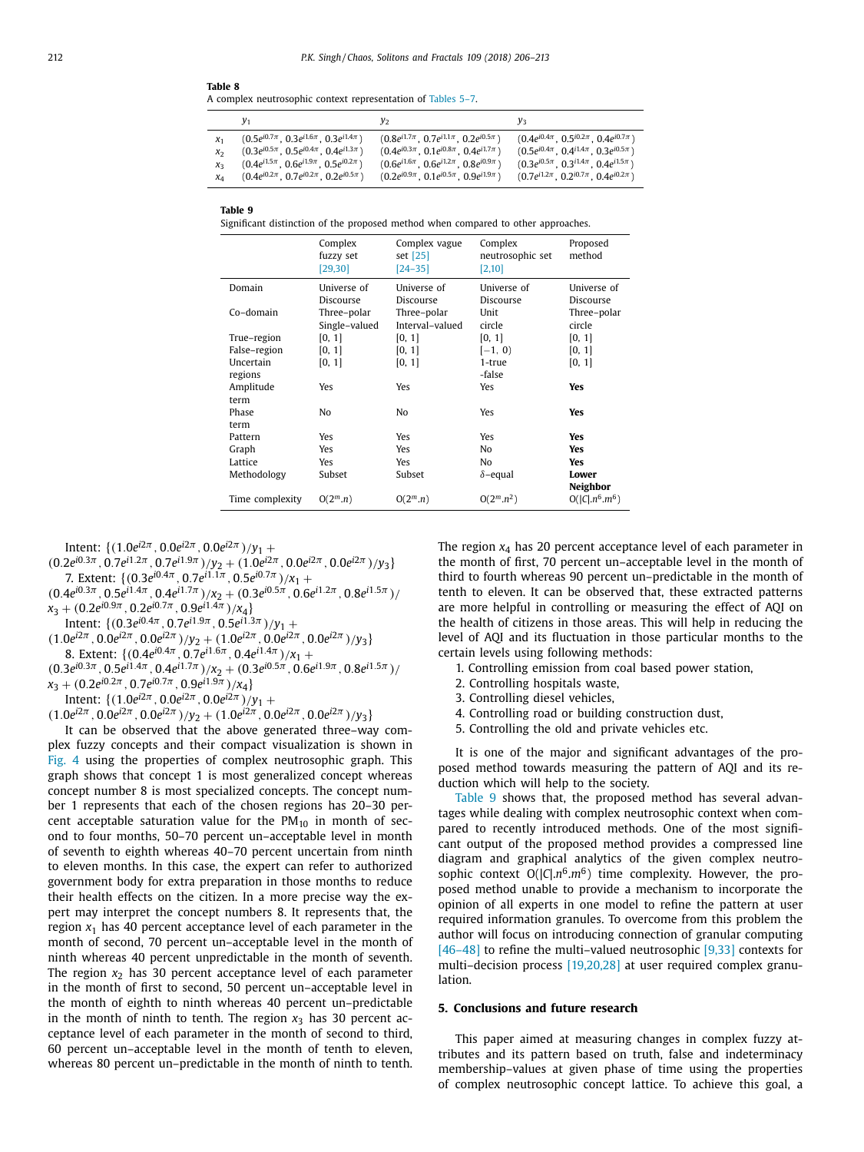<span id="page-6-0"></span>**Table 8**

A complex neutrosophic context representation of [Tables](#page-4-0) 5–7.

|       | y <sub>1</sub>                                     | y2                                                 | yз                                                |
|-------|----------------------------------------------------|----------------------------------------------------|---------------------------------------------------|
| $x_1$ | $(0.5e^{i0.7\pi}, 0.3e^{i1.6\pi}, 0.3e^{i1.4\pi})$ | $(0.8e^{i1.7\pi}, 0.7e^{i1.1\pi}, 0.2e^{i0.5\pi})$ | $(0.4e^{i0.4\pi}, 0.5^{i0.2\pi}, 0.4e^{i0.7\pi})$ |
| X2    | $(0.3e^{i0.5\pi}, 0.5e^{i0.4\pi}, 0.4e^{i1.3\pi})$ | $(0.4e^{i0.3\pi}, 0.1e^{i0.8\pi}, 0.4e^{i1.7\pi})$ | $(0.5e^{i0.4\pi}, 0.4^{i1.4\pi}, 0.3e^{i0.5\pi})$ |
| X٦    | $(0.4e^{i1.5\pi}, 0.6e^{i1.9\pi}, 0.5e^{i0.2\pi})$ | $(0.6e^{i1.6\pi}, 0.6e^{i1.2\pi}, 0.8e^{i0.9\pi})$ | $(0.3e^{i0.5\pi}, 0.3i^{1.4\pi}, 0.4e^{i1.5\pi})$ |
| XΔ    | $(0.4e^{i0.2\pi}, 0.7e^{i0.2\pi}, 0.2e^{i0.5\pi})$ | $(0.2e^{i0.9\pi}, 0.1e^{i0.5\pi}, 0.9e^{i1.9\pi})$ | $(0.7e^{i1.2\pi}, 0.2^{i0.7\pi}, 0.4e^{i0.2\pi})$ |

**Table 9**

Significant distinction of the proposed method when compared to other approaches.

|                 | Complex<br>fuzzy set<br>[29, 30] | Complex vague<br>set [25]<br>$[24 - 35]$ | Complex<br>neutrosophic set<br>[2,10] | Proposed<br>method |
|-----------------|----------------------------------|------------------------------------------|---------------------------------------|--------------------|
| Domain          | Universe of                      | Universe of                              | Universe of                           | Universe of        |
|                 | Discourse                        | Discourse                                | Discourse                             | Discourse          |
| Co-domain       | Three-polar                      | Three–polar                              | Unit                                  | Three-polar        |
|                 | Single-valued                    | Interval-valued                          | circle                                | circle             |
| True-region     | [0, 1]                           | [0, 1]                                   | [0, 1]                                | [0, 1]             |
| False-region    | [0, 1]                           | [0, 1]                                   | $[-1, 0)$                             | [0, 1]             |
| Uncertain       | [0, 1]                           | [0, 1]                                   | 1-true                                | [0, 1]             |
| regions         |                                  |                                          | -false                                |                    |
| Amplitude       | Yes                              | Yes                                      | Yes                                   | Yes                |
| term            |                                  |                                          |                                       |                    |
| Phase           | No                               | No                                       | Yes                                   | Yes                |
| term            |                                  |                                          |                                       |                    |
| Pattern         | Yes                              | Yes                                      | Yes                                   | Yes                |
| Graph           | Yes                              | Yes                                      | No                                    | Yes                |
| Lattice         | Yes                              | Yes                                      | No                                    | Yes                |
| Methodology     | Subset                           | Subset                                   | $\delta$ -equal                       | Lower<br>Neighbor  |
| Time complexity | $O(2^m.n)$                       | $O(2^m.n)$                               | $O(2^m.n^2)$                          | $O( C , n^6, m^6)$ |

Intent:  $\{(1.0e^{i2\pi}, 0.0e^{i2\pi}, 0.0e^{i2\pi})/y_1 +$ 

$$
(0.2e^{i0.3\pi}, 0.7e^{i1.2\pi}, 0.7e^{i1.9\pi})/y_2 + (1.0e^{i2\pi}, 0.0e^{i2\pi}, 0.0e^{i2\pi})/y_3\}
$$
  
7. Extent: {(0.3e^{i0.4\pi}, 0.7e^{i1.1\pi}, 0.5e^{i0.7\pi})/x\_1 +

 $(0.4e^{i0.3\pi}, 0.5e^{i1.4\pi}, 0.4e^{i1.7\pi})/x_2 + (0.3e^{i0.5\pi}, 0.6e^{i1.2\pi}, 0.8e^{i1.5\pi})/x_1$  $x_3 + (0.2e^{i0.9\pi}, 0.2e^{i0.7\pi}, 0.9e^{i1.4\pi})/x_4$ 

- Intent:  $\{(0.3e^{i0.4\pi}, 0.7e^{i1.9\pi}, 0.5e^{i1.3\pi})/y_1 +$
- $(1.0e^{i2\pi}, 0.0e^{i2\pi}, 0.0e^{i2\pi})/y_2 + (1.0e^{i2\pi}, 0.0e^{i2\pi}, 0.0e^{i2\pi})/y_3$ 8. Extent:  $\{(0.4e^{i0.4\pi}, 0.7e^{i1.6\pi}, 0.4e^{i1.4\pi})/x_1 +$
- $(0.3e^{i0.3\pi}, 0.5e^{i1.4\pi}, 0.4e^{i1.7\pi})/x_2 + (0.3e^{i0.5\pi}, 0.6e^{i1.9\pi}, 0.8e^{i1.5\pi})/x_1$  $x_3 + (0.2e^{i0.2\pi}, 0.7e^{i0.7\pi}, 0.9e^{i1.9\pi})/x_4$

Intent:  $\{(1.0e^{i2\pi}, 0.0e^{i2\pi}, 0.0e^{i2\pi})/y_1 +$ 

 $(1.0e^{i2\pi}, 0.0e^{i2\pi}, 0.0e^{i2\pi})/y_2 + (1.0e^{i2\pi}, 0.0e^{i2\pi}, 0.0e^{i2\pi})/y_3$ 

It can be observed that the above generated three–way complex fuzzy concepts and their compact visualization is shown in [Fig.](#page-5-0) 4 using the properties of complex neutrosophic graph. This graph shows that concept 1 is most generalized concept whereas concept number 8 is most specialized concepts. The concept number 1 represents that each of the chosen regions has 20–30 percent acceptable saturation value for the  $PM_{10}$  in month of second to four months, 50–70 percent un–acceptable level in month of seventh to eighth whereas 40–70 percent uncertain from ninth to eleven months. In this case, the expert can refer to authorized government body for extra preparation in those months to reduce their health effects on the citizen. In a more precise way the expert may interpret the concept numbers 8. It represents that, the region  $x_1$  has 40 percent acceptance level of each parameter in the month of second, 70 percent un–acceptable level in the month of ninth whereas 40 percent unpredictable in the month of seventh. The region  $x_2$  has 30 percent acceptance level of each parameter in the month of first to second, 50 percent un–acceptable level in the month of eighth to ninth whereas 40 percent un–predictable in the month of ninth to tenth. The region  $x_3$  has 30 percent acceptance level of each parameter in the month of second to third, 60 percent un–acceptable level in the month of tenth to eleven, whereas 80 percent un–predictable in the month of ninth to tenth. The region *x*<sup>4</sup> has 20 percent acceptance level of each parameter in the month of first, 70 percent un–acceptable level in the month of third to fourth whereas 90 percent un–predictable in the month of tenth to eleven. It can be observed that, these extracted patterns are more helpful in controlling or measuring the effect of AQI on the health of citizens in those areas. This will help in reducing the level of AQI and its fluctuation in those particular months to the certain levels using following methods:

- 1. Controlling emission from coal based power station,
- 2. Controlling hospitals waste,
- 3. Controlling diesel vehicles,
- 4. Controlling road or building construction dust,
- 5. Controlling the old and private vehicles etc.

It is one of the major and significant advantages of the proposed method towards measuring the pattern of AQI and its reduction which will help to the society.

Table 9 shows that, the proposed method has several advantages while dealing with complex neutrosophic context when compared to recently introduced methods. One of the most significant output of the proposed method provides a compressed line diagram and graphical analytics of the given complex neutrosophic context  $O(|C| \cdot n^6 \cdot m^6)$  time complexity. However, the proposed method unable to provide a mechanism to incorporate the opinion of all experts in one model to refine the pattern at user required information granules. To overcome from this problem the author will focus on introducing connection of granular computing [\[46–48\]](#page-7-0) to refine the multi–valued neutrosophic [\[9,33\]](#page-7-0) contexts for multi–decision process [\[19,20,28\]](#page-7-0) at user required complex granulation.

#### **5. Conclusions and future research**

This paper aimed at measuring changes in complex fuzzy attributes and its pattern based on truth, false and indeterminacy membership–values at given phase of time using the properties of complex neutrosophic concept lattice. To achieve this goal, a